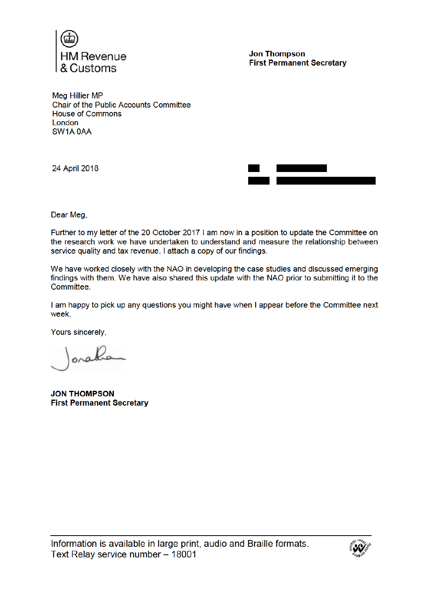

**Jon Thompson First Permanent Secretary** 

**Mea Hillier MP** Chair of the Public Accounts Committee **House of Commons London** SW1A 0AA

24 April 2018

Dear Meg,

Further to my letter of the 20 October 2017 I am now in a position to update the Committee on the research work we have undertaken to understand and measure the relationship between service quality and tax revenue. I attach a copy of our findings.

We have worked closely with the NAO in developing the case studies and discussed emerging findings with them. We have also shared this update with the NAO prior to submitting it to the Committee

I am happy to pick up any questions you might have when I appear before the Committee next week.

Yours sincerely,

onal

**JON THOMPSON First Permanent Secretary** 

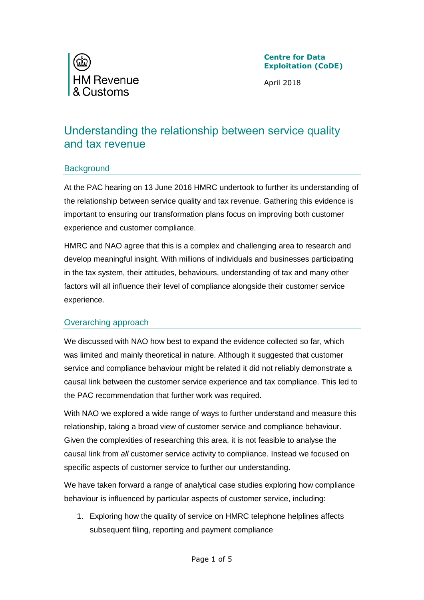

April 2018

# Understanding the relationship between service quality and tax revenue

### **Background**

At the PAC hearing on 13 June 2016 HMRC undertook to further its understanding of the relationship between service quality and tax revenue. Gathering this evidence is important to ensuring our transformation plans focus on improving both customer experience and customer compliance.

HMRC and NAO agree that this is a complex and challenging area to research and develop meaningful insight. With millions of individuals and businesses participating in the tax system, their attitudes, behaviours, understanding of tax and many other factors will all influence their level of compliance alongside their customer service experience.

## Overarching approach

We discussed with NAO how best to expand the evidence collected so far, which was limited and mainly theoretical in nature. Although it suggested that customer service and compliance behaviour might be related it did not reliably demonstrate a causal link between the customer service experience and tax compliance. This led to the PAC recommendation that further work was required.

With NAO we explored a wide range of ways to further understand and measure this relationship, taking a broad view of customer service and compliance behaviour. Given the complexities of researching this area, it is not feasible to analyse the causal link from *all* customer service activity to compliance. Instead we focused on specific aspects of customer service to further our understanding.

We have taken forward a range of analytical case studies exploring how compliance behaviour is influenced by particular aspects of customer service, including:

1. Exploring how the quality of service on HMRC telephone helplines affects subsequent filing, reporting and payment compliance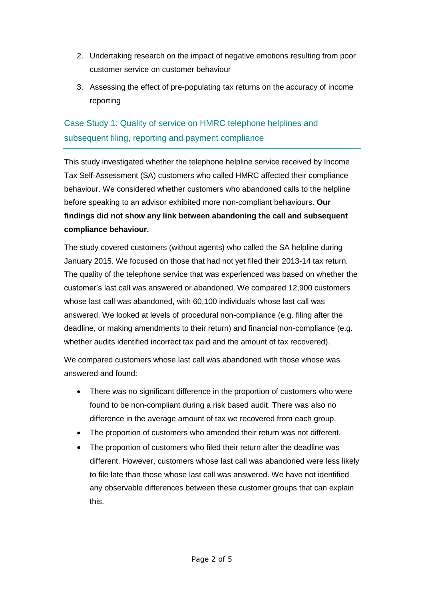- 2. Undertaking research on the impact of negative emotions resulting from poor customer service on customer behaviour
- 3. Assessing the effect of pre-populating tax returns on the accuracy of income reporting

## Case Study 1: Quality of service on HMRC telephone helplines and subsequent filing, reporting and payment compliance

This study investigated whether the telephone helpline service received by Income Tax Self-Assessment (SA) customers who called HMRC affected their compliance behaviour. We considered whether customers who abandoned calls to the helpline before speaking to an advisor exhibited more non-compliant behaviours. **Our findings did not show any link between abandoning the call and subsequent compliance behaviour.** 

The study covered customers (without agents) who called the SA helpline during January 2015. We focused on those that had not yet filed their 2013-14 tax return. The quality of the telephone service that was experienced was based on whether the customer's last call was answered or abandoned. We compared 12,900 customers whose last call was abandoned, with 60,100 individuals whose last call was answered. We looked at levels of procedural non-compliance (e.g. filing after the deadline, or making amendments to their return) and financial non-compliance (e.g. whether audits identified incorrect tax paid and the amount of tax recovered).

We compared customers whose last call was abandoned with those whose was answered and found:

- There was no significant difference in the proportion of customers who were found to be non-compliant during a risk based audit. There was also no difference in the average amount of tax we recovered from each group.
- The proportion of customers who amended their return was not different.
- The proportion of customers who filed their return after the deadline was different. However, customers whose last call was abandoned were less likely to file late than those whose last call was answered. We have not identified any observable differences between these customer groups that can explain this.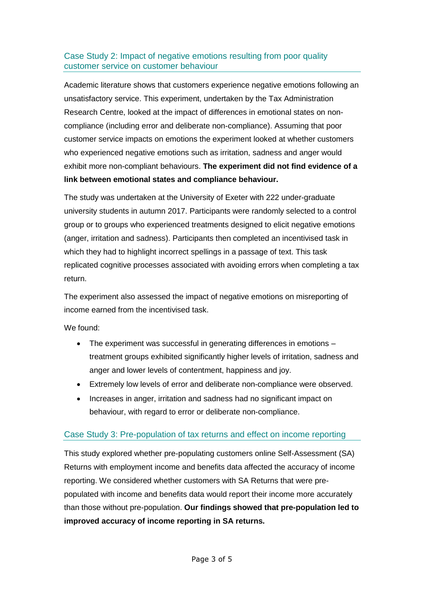### Case Study 2: Impact of negative emotions resulting from poor quality customer service on customer behaviour

Academic literature shows that customers experience negative emotions following an unsatisfactory service. This experiment, undertaken by the Tax Administration Research Centre, looked at the impact of differences in emotional states on noncompliance (including error and deliberate non-compliance). Assuming that poor customer service impacts on emotions the experiment looked at whether customers who experienced negative emotions such as irritation, sadness and anger would exhibit more non-compliant behaviours. **The experiment did not find evidence of a link between emotional states and compliance behaviour.** 

The study was undertaken at the University of Exeter with 222 under-graduate university students in autumn 2017. Participants were randomly selected to a control group or to groups who experienced treatments designed to elicit negative emotions (anger, irritation and sadness). Participants then completed an incentivised task in which they had to highlight incorrect spellings in a passage of text. This task replicated cognitive processes associated with avoiding errors when completing a tax return.

The experiment also assessed the impact of negative emotions on misreporting of income earned from the incentivised task.

We found:

- The experiment was successful in generating differences in emotions treatment groups exhibited significantly higher levels of irritation, sadness and anger and lower levels of contentment, happiness and joy.
- Extremely low levels of error and deliberate non-compliance were observed.
- Increases in anger, irritation and sadness had no significant impact on behaviour, with regard to error or deliberate non-compliance.

## Case Study 3: Pre-population of tax returns and effect on income reporting

This study explored whether pre-populating customers online Self-Assessment (SA) Returns with employment income and benefits data affected the accuracy of income reporting. We considered whether customers with SA Returns that were prepopulated with income and benefits data would report their income more accurately than those without pre-population. **Our findings showed that pre-population led to improved accuracy of income reporting in SA returns.**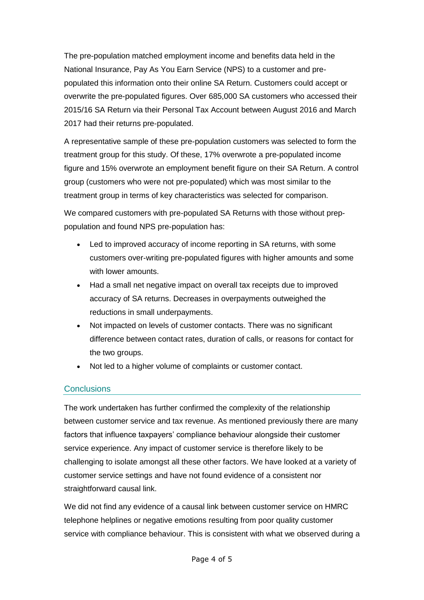The pre-population matched employment income and benefits data held in the National Insurance, Pay As You Earn Service (NPS) to a customer and prepopulated this information onto their online SA Return. Customers could accept or overwrite the pre-populated figures. Over 685,000 SA customers who accessed their 2015/16 SA Return via their Personal Tax Account between August 2016 and March 2017 had their returns pre-populated.

A representative sample of these pre-population customers was selected to form the treatment group for this study. Of these, 17% overwrote a pre-populated income figure and 15% overwrote an employment benefit figure on their SA Return. A control group (customers who were not pre-populated) which was most similar to the treatment group in terms of key characteristics was selected for comparison.

We compared customers with pre-populated SA Returns with those without preppopulation and found NPS pre-population has:

- Led to improved accuracy of income reporting in SA returns, with some customers over-writing pre-populated figures with higher amounts and some with lower amounts.
- Had a small net negative impact on overall tax receipts due to improved accuracy of SA returns. Decreases in overpayments outweighed the reductions in small underpayments.
- Not impacted on levels of customer contacts. There was no significant difference between contact rates, duration of calls, or reasons for contact for the two groups.
- Not led to a higher volume of complaints or customer contact.

## **Conclusions**

The work undertaken has further confirmed the complexity of the relationship between customer service and tax revenue. As mentioned previously there are many factors that influence taxpayers' compliance behaviour alongside their customer service experience. Any impact of customer service is therefore likely to be challenging to isolate amongst all these other factors. We have looked at a variety of customer service settings and have not found evidence of a consistent nor straightforward causal link.

We did not find any evidence of a causal link between customer service on HMRC telephone helplines or negative emotions resulting from poor quality customer service with compliance behaviour. This is consistent with what we observed during a